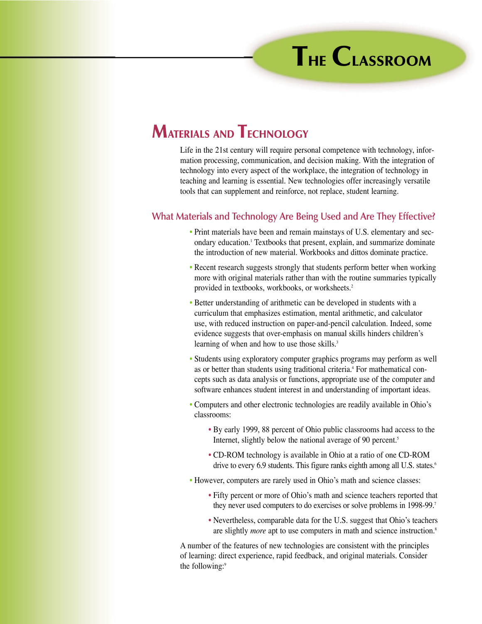## **MATERIALS AND TECHNOLOGY**

Life in the 21st century will require personal competence with technology, information processing, communication, and decision making. With the integration of technology into every aspect of the workplace, the integration of technology in teaching and learning is essential. New technologies offer increasingly versatile tools that can supplement and reinforce, not replace, student learning.

## **What Materials and Technology Are Being Used and Are They Effective?**

- Print materials have been and remain mainstays of U.S. elementary and secondary education.<sup>1</sup> Textbooks that present, explain, and summarize dominate the introduction of new material. Workbooks and dittos dominate practice.
- Recent research suggests strongly that students perform better when working more with original materials rather than with the routine summaries typically provided in textbooks, workbooks, or worksheets.2
- Better understanding of arithmetic can be developed in students with a curriculum that emphasizes estimation, mental arithmetic, and calculator use, with reduced instruction on paper-and-pencil calculation. Indeed, some evidence suggests that over-emphasis on manual skills hinders children's learning of when and how to use those skills.<sup>3</sup>
- Students using exploratory computer graphics programs may perform as well as or better than students using traditional criteria.<sup>4</sup> For mathematical concepts such as data analysis or functions, appropriate use of the computer and software enhances student interest in and understanding of important ideas.
- Computers and other electronic technologies are readily available in Ohio's classrooms:
	- By early 1999, 88 percent of Ohio public classrooms had access to the Internet, slightly below the national average of 90 percent.<sup>5</sup>
	- CD-ROM technology is available in Ohio at a ratio of one CD-ROM drive to every 6.9 students. This figure ranks eighth among all U.S. states.<sup>6</sup>
- However, computers are rarely used in Ohio's math and science classes:
	- Fifty percent or more of Ohio's math and science teachers reported that they never used computers to do exercises or solve problems in 1998-99.7
	- Nevertheless, comparable data for the U.S. suggest that Ohio's teachers are slightly *more* apt to use computers in math and science instruction.<sup>8</sup>

A number of the features of new technologies are consistent with the principles of learning: direct experience, rapid feedback, and original materials. Consider the following:<sup>9</sup>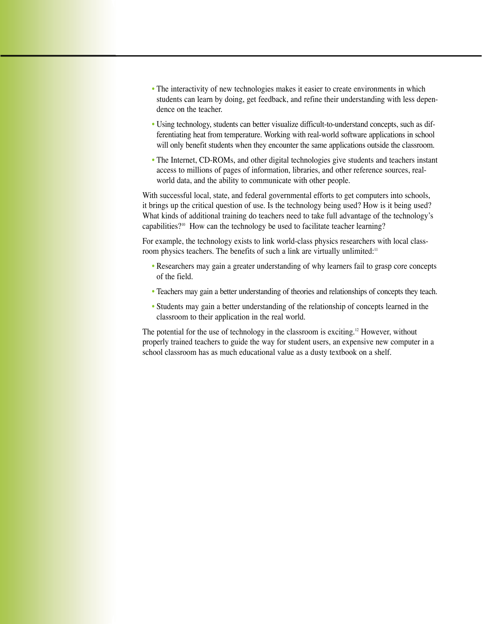- The interactivity of new technologies makes it easier to create environments in which students can learn by doing, get feedback, and refine their understanding with less dependence on the teacher.
- Using technology, students can better visualize difficult-to-understand concepts, such as differentiating heat from temperature. Working with real-world software applications in school will only benefit students when they encounter the same applications outside the classroom.
- The Internet, CD-ROMs, and other digital technologies give students and teachers instant access to millions of pages of information, libraries, and other reference sources, realworld data, and the ability to communicate with other people.

With successful local, state, and federal governmental efforts to get computers into schools, it brings up the critical question of use. Is the technology being used? How is it being used? What kinds of additional training do teachers need to take full advantage of the technology's capabilities?10 How can the technology be used to facilitate teacher learning?

For example, the technology exists to link world-class physics researchers with local classroom physics teachers. The benefits of such a link are virtually unlimited:<sup>11</sup>

- Researchers may gain a greater understanding of why learners fail to grasp core concepts of the field.
- Teachers may gain a better understanding of theories and relationships of concepts they teach.
- Students may gain a better understanding of the relationship of concepts learned in the classroom to their application in the real world.

The potential for the use of technology in the classroom is exciting.<sup>12</sup> However, without properly trained teachers to guide the way for student users, an expensive new computer in a school classroom has as much educational value as a dusty textbook on a shelf.